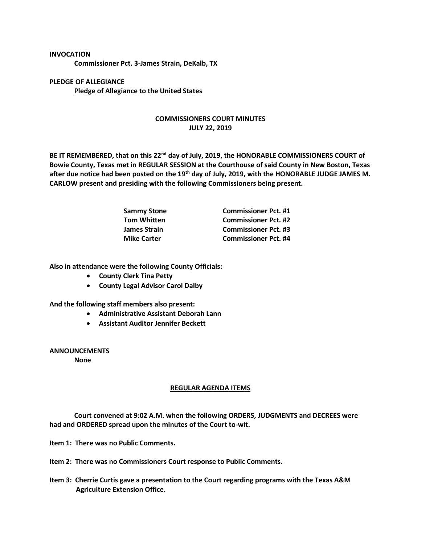## **INVOCATION**

**Commissioner Pct. 3-James Strain, DeKalb, TX**

**PLEDGE OF ALLEGIANCE Pledge of Allegiance to the United States**

## **COMMISSIONERS COURT MINUTES JULY 22, 2019**

**BE IT REMEMBERED, that on this 22nd day of July, 2019, the HONORABLE COMMISSIONERS COURT of Bowie County, Texas met in REGULAR SESSION at the Courthouse of said County in New Boston, Texas after due notice had been posted on the 19th day of July, 2019, with the HONORABLE JUDGE JAMES M. CARLOW present and presiding with the following Commissioners being present.**

| <b>Sammy Stone</b>  | <b>Commissioner Pct. #1</b> |
|---------------------|-----------------------------|
| <b>Tom Whitten</b>  | <b>Commissioner Pct. #2</b> |
| <b>James Strain</b> | <b>Commissioner Pct. #3</b> |
| <b>Mike Carter</b>  | <b>Commissioner Pct. #4</b> |

**Also in attendance were the following County Officials:**

- **County Clerk Tina Petty**
- **County Legal Advisor Carol Dalby**

**And the following staff members also present:**

- **Administrative Assistant Deborah Lann**
- **Assistant Auditor Jennifer Beckett**

**ANNOUNCEMENTS**

**None**

## **REGULAR AGENDA ITEMS**

**Court convened at 9:02 A.M. when the following ORDERS, JUDGMENTS and DECREES were had and ORDERED spread upon the minutes of the Court to-wit.**

**Item 1: There was no Public Comments.**

**Item 2: There was no Commissioners Court response to Public Comments.**

**Item 3: Cherrie Curtis gave a presentation to the Court regarding programs with the Texas A&M Agriculture Extension Office.**